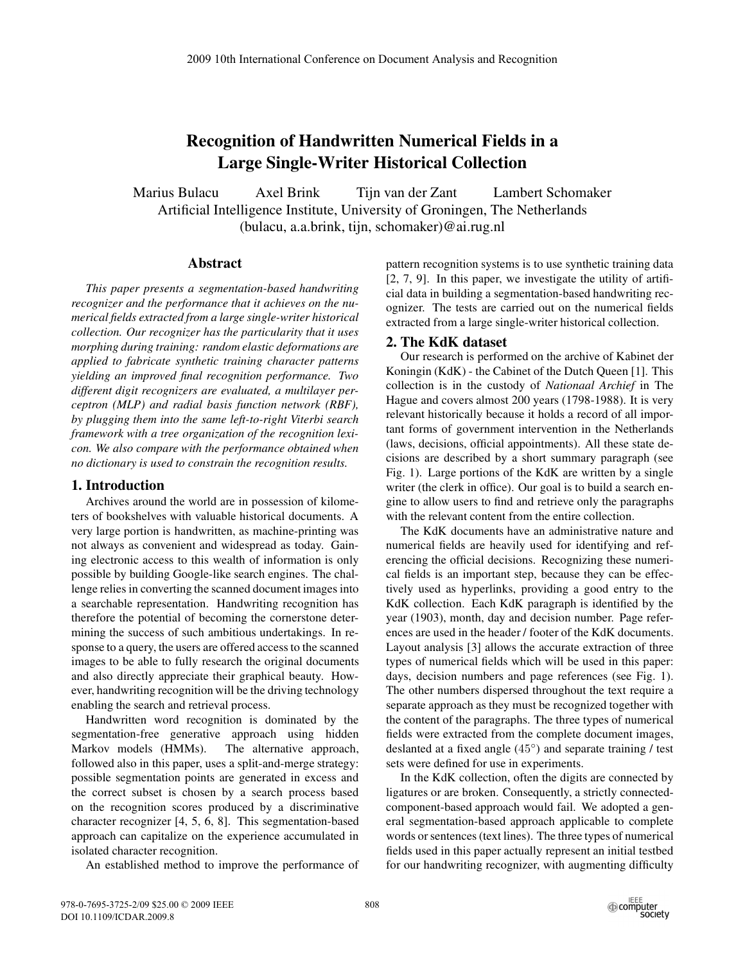# **Recognition of Handwritten Numerical Fields in a Large Single-Writer Historical Collection**

Marius Bulacu Axel Brink Tijn van der Zant Lambert Schomaker Artificial Intelligence Institute, University of Groningen, The Netherlands (bulacu, a.a.brink, tijn, schomaker)@ai.rug.nl

## **Abstract**

*This paper presents a segmentation-based handwriting recognizer and the performance that it achieves on the numerical fields extracted from a large single-writer historical collection. Our recognizer has the particularity that it uses morphing during training: random elastic deformations are applied to fabricate synthetic training character patterns yielding an improved final recognition performance. Two different digit recognizers are evaluated, a multilayer perceptron (MLP) and radial basis function network (RBF), by plugging them into the same left-to-right Viterbi search framework with a tree organization of the recognition lexicon. We also compare with the performance obtained when no dictionary is used to constrain the recognition results.*

# **1. Introduction**

Archives around the world are in possession of kilometers of bookshelves with valuable historical documents. A very large portion is handwritten, as machine-printing was not always as convenient and widespread as today. Gaining electronic access to this wealth of information is only possible by building Google-like search engines. The challenge relies in converting the scanned document images into a searchable representation. Handwriting recognition has therefore the potential of becoming the cornerstone determining the success of such ambitious undertakings. In response to a query, the users are offered access to the scanned images to be able to fully research the original documents and also directly appreciate their graphical beauty. However, handwriting recognition will be the driving technology enabling the search and retrieval process.

Handwritten word recognition is dominated by the segmentation-free generative approach using hidden Markov models (HMMs). The alternative approach, followed also in this paper, uses a split-and-merge strategy: possible segmentation points are generated in excess and the correct subset is chosen by a search process based on the recognition scores produced by a discriminative character recognizer [4, 5, 6, 8]. This segmentation-based approach can capitalize on the experience accumulated in isolated character recognition.

An established method to improve the performance of

pattern recognition systems is to use synthetic training data [2, 7, 9]. In this paper, we investigate the utility of artificial data in building a segmentation-based handwriting recognizer. The tests are carried out on the numerical fields extracted from a large single-writer historical collection.

### **2. The KdK dataset**

Our research is performed on the archive of Kabinet der Koningin (KdK) - the Cabinet of the Dutch Queen [1]. This collection is in the custody of *Nationaal Archief* in The Hague and covers almost 200 years (1798-1988). It is very relevant historically because it holds a record of all important forms of government intervention in the Netherlands (laws, decisions, official appointments). All these state decisions are described by a short summary paragraph (see Fig. 1). Large portions of the KdK are written by a single writer (the clerk in office). Our goal is to build a search engine to allow users to find and retrieve only the paragraphs with the relevant content from the entire collection.

The KdK documents have an administrative nature and numerical fields are heavily used for identifying and referencing the official decisions. Recognizing these numerical fields is an important step, because they can be effectively used as hyperlinks, providing a good entry to the KdK collection. Each KdK paragraph is identified by the year (1903), month, day and decision number. Page references are used in the header / footer of the KdK documents. Layout analysis [3] allows the accurate extraction of three types of numerical fields which will be used in this paper: days, decision numbers and page references (see Fig. 1). The other numbers dispersed throughout the text require a separate approach as they must be recognized together with the content of the paragraphs. The three types of numerical fields were extracted from the complete document images, deslanted at a fixed angle (45◦ ) and separate training / test sets were defined for use in experiments.

In the KdK collection, often the digits are connected by ligatures or are broken. Consequently, a strictly connectedcomponent-based approach would fail. We adopted a general segmentation-based approach applicable to complete words or sentences (text lines). The three types of numerical fields used in this paper actually represent an initial testbed for our handwriting recognizer, with augmenting difficulty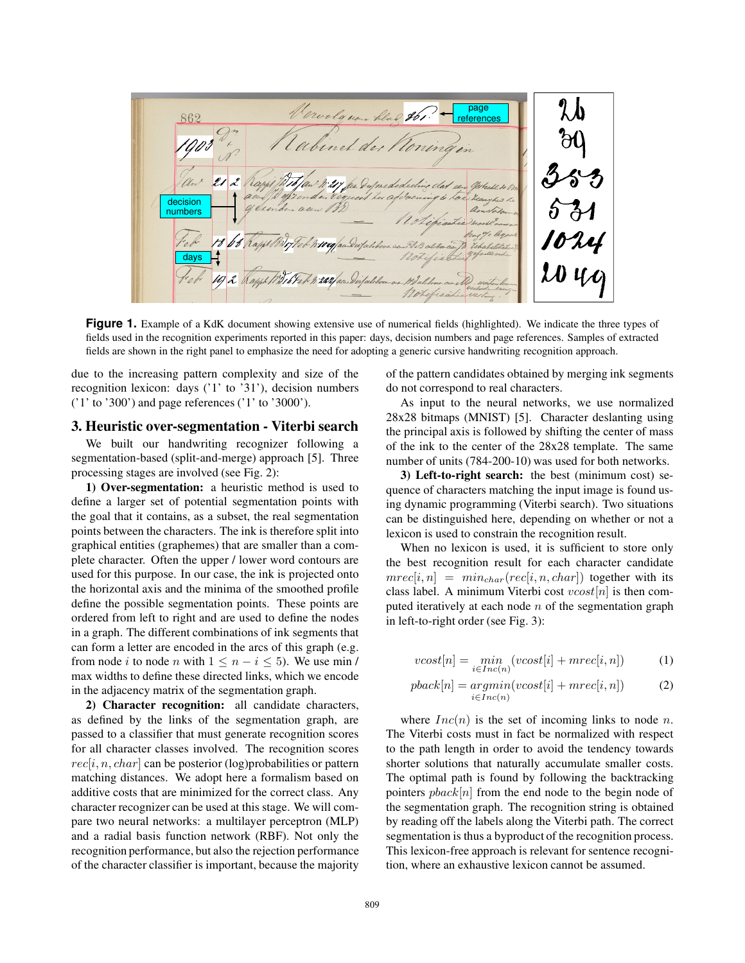Vervolguen blad 861. page 862 references binet der Koning decision numbers days

**Figure 1.** Example of a KdK document showing extensive use of numerical fields (highlighted). We indicate the three types of fields used in the recognition experiments reported in this paper: days, decision numbers and page references. Samples of extracted fields are shown in the right panel to emphasize the need for adopting a generic cursive handwriting recognition approach.

due to the increasing pattern complexity and size of the recognition lexicon: days ('1' to '31'), decision numbers ('1' to '300') and page references ('1' to '3000').

#### **3. Heuristic over-segmentation - Viterbi search**

We built our handwriting recognizer following a segmentation-based (split-and-merge) approach [5]. Three processing stages are involved (see Fig. 2):

**1) Over-segmentation:** a heuristic method is used to define a larger set of potential segmentation points with the goal that it contains, as a subset, the real segmentation points between the characters. The ink is therefore split into graphical entities (graphemes) that are smaller than a complete character. Often the upper / lower word contours are used for this purpose. In our case, the ink is projected onto the horizontal axis and the minima of the smoothed profile define the possible segmentation points. These points are ordered from left to right and are used to define the nodes in a graph. The different combinations of ink segments that can form a letter are encoded in the arcs of this graph (e.g. from node i to node n with  $1 \leq n - i \leq 5$ ). We use min / max widths to define these directed links, which we encode in the adjacency matrix of the segmentation graph.

**2) Character recognition:** all candidate characters, as defined by the links of the segmentation graph, are passed to a classifier that must generate recognition scores for all character classes involved. The recognition scores  $rec[i, n, char]$  can be posterior (log)probabilities or pattern matching distances. We adopt here a formalism based on additive costs that are minimized for the correct class. Any character recognizer can be used at this stage. We will compare two neural networks: a multilayer perceptron (MLP) and a radial basis function network (RBF). Not only the recognition performance, but also the rejection performance of the character classifier is important, because the majority of the pattern candidates obtained by merging ink segments do not correspond to real characters.

As input to the neural networks, we use normalized 28x28 bitmaps (MNIST) [5]. Character deslanting using the principal axis is followed by shifting the center of mass of the ink to the center of the 28x28 template. The same number of units (784-200-10) was used for both networks.

**3) Left-to-right search:** the best (minimum cost) sequence of characters matching the input image is found using dynamic programming (Viterbi search). Two situations can be distinguished here, depending on whether or not a lexicon is used to constrain the recognition result.

When no lexicon is used, it is sufficient to store only the best recognition result for each character candidate  $mrec[i, n] = min_{char}(rec[i, n, char])$  together with its class label. A minimum Viterbi cost  $vcost[n]$  is then computed iteratively at each node  $n$  of the segmentation graph in left-to-right order (see Fig. 3):

$$
vcost[n] = \min_{i \in Inc(n)} (vcost[i] + mrec[i, n]) \tag{1}
$$

$$
pback[n] = argmin(vcost[i] + mrec[i, n])
$$
 (2)

where  $Inc(n)$  is the set of incoming links to node n. The Viterbi costs must in fact be normalized with respect to the path length in order to avoid the tendency towards shorter solutions that naturally accumulate smaller costs. The optimal path is found by following the backtracking pointers  $\mathit{pback}[n]$  from the end node to the begin node of the segmentation graph. The recognition string is obtained by reading off the labels along the Viterbi path. The correct segmentation is thus a byproduct of the recognition process. This lexicon-free approach is relevant for sentence recognition, where an exhaustive lexicon cannot be assumed.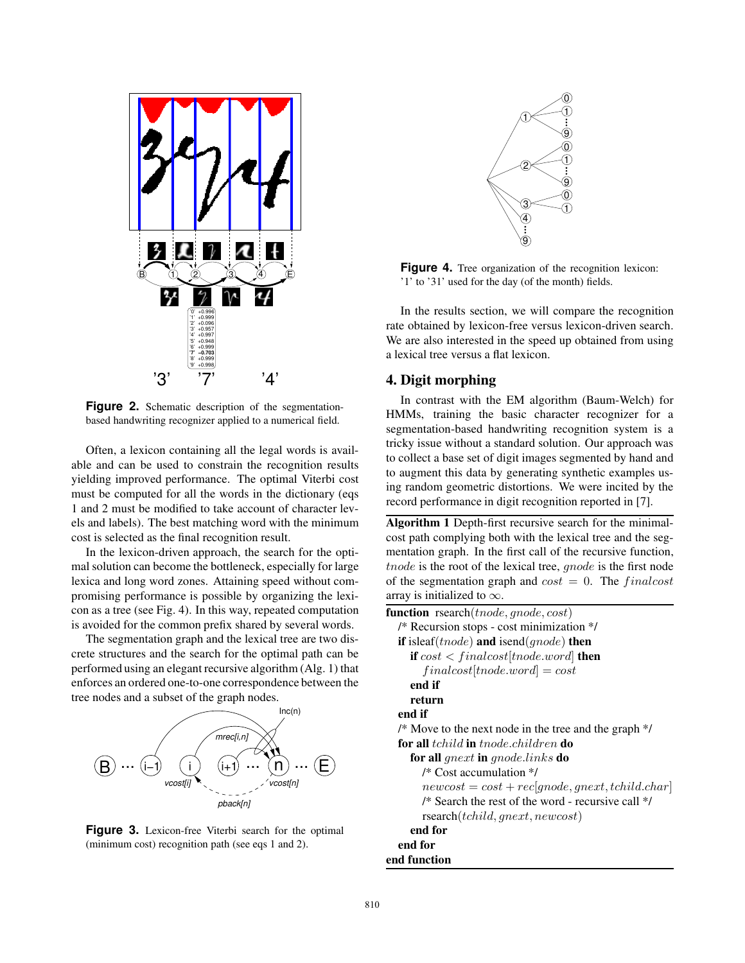

**Figure 2.** Schematic description of the segmentationbased handwriting recognizer applied to a numerical field.

Often, a lexicon containing all the legal words is available and can be used to constrain the recognition results yielding improved performance. The optimal Viterbi cost must be computed for all the words in the dictionary (eqs 1 and 2 must be modified to take account of character levels and labels). The best matching word with the minimum cost is selected as the final recognition result.

In the lexicon-driven approach, the search for the optimal solution can become the bottleneck, especially for large lexica and long word zones. Attaining speed without compromising performance is possible by organizing the lexicon as a tree (see Fig. 4). In this way, repeated computation is avoided for the common prefix shared by several words.

The segmentation graph and the lexical tree are two discrete structures and the search for the optimal path can be performed using an elegant recursive algorithm (Alg. 1) that enforces an ordered one-to-one correspondence between the tree nodes and a subset of the graph nodes.



**Figure 3.** Lexicon-free Viterbi search for the optimal (minimum cost) recognition path (see eqs 1 and 2).



Figure 4. Tree organization of the recognition lexicon: '1' to '31' used for the day (of the month) fields.

In the results section, we will compare the recognition rate obtained by lexicon-free versus lexicon-driven search. We are also interested in the speed up obtained from using a lexical tree versus a flat lexicon.

# **4. Digit morphing**

In contrast with the EM algorithm (Baum-Welch) for HMMs, training the basic character recognizer for a segmentation-based handwriting recognition system is a tricky issue without a standard solution. Our approach was to collect a base set of digit images segmented by hand and to augment this data by generating synthetic examples using random geometric distortions. We were incited by the record performance in digit recognition reported in [7].

**Algorithm 1** Depth-first recursive search for the minimalcost path complying both with the lexical tree and the segmentation graph. In the first call of the recursive function, tnode is the root of the lexical tree, *gnode* is the first node of the segmentation graph and  $cost = 0$ . The finalcost array is initialized to  $\infty$ .

**function** rsearch(*tnode*, *qnode*, *cost*) /\* Recursion stops - cost minimization \*/ **if** isleaf(tnode) **and** isend(gnode) **then if**  $cost < finalcost[tnode, word]$  **then**  $final cost[tnode.word] = cost$ **end if return end if** /\* Move to the next node in the tree and the graph \*/ **for all** tchild **in** tnode.children **do for all** gnext **in** gnode.links **do** /\* Cost accumulation \*/  $newcost = cost + rec[qnode, qnext, tchild.char]$ /\* Search the rest of the word - recursive call \*/ rsearch(tchild, gnext, newcost) **end for end for end function**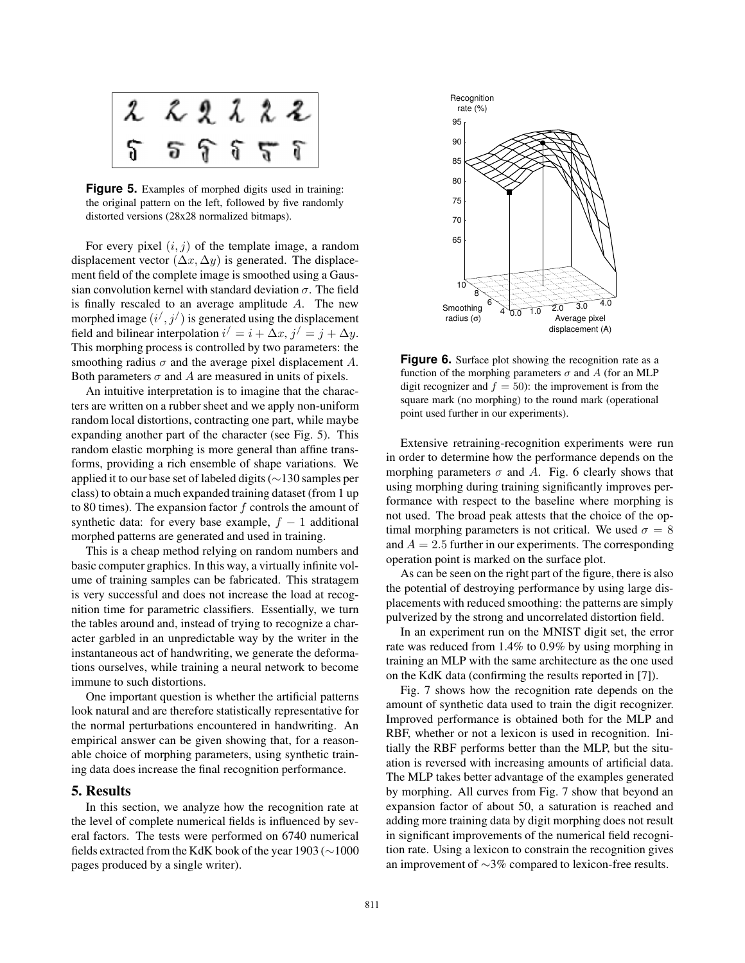

Figure 5. Examples of morphed digits used in training: the original pattern on the left, followed by five randomly distorted versions (28x28 normalized bitmaps).

For every pixel  $(i, j)$  of the template image, a random displacement vector  $(\Delta x, \Delta y)$  is generated. The displacement field of the complete image is smoothed using a Gaussian convolution kernel with standard deviation  $\sigma$ . The field is finally rescaled to an average amplitude A. The new morphed image  $(i', j')$  is generated using the displacement field and bilinear interpolation  $i' = i + \Delta x$ ,  $j' = j + \Delta y$ . This morphing process is controlled by two parameters: the smoothing radius  $\sigma$  and the average pixel displacement A. Both parameters  $\sigma$  and A are measured in units of pixels.

An intuitive interpretation is to imagine that the characters are written on a rubber sheet and we apply non-uniform random local distortions, contracting one part, while maybe expanding another part of the character (see Fig. 5). This random elastic morphing is more general than affine transforms, providing a rich ensemble of shape variations. We applied it to our base set of labeled digits (∼130 samples per class) to obtain a much expanded training dataset (from 1 up to 80 times). The expansion factor  $f$  controls the amount of synthetic data: for every base example,  $f - 1$  additional morphed patterns are generated and used in training.

This is a cheap method relying on random numbers and basic computer graphics. In this way, a virtually infinite volume of training samples can be fabricated. This stratagem is very successful and does not increase the load at recognition time for parametric classifiers. Essentially, we turn the tables around and, instead of trying to recognize a character garbled in an unpredictable way by the writer in the instantaneous act of handwriting, we generate the deformations ourselves, while training a neural network to become immune to such distortions.

One important question is whether the artificial patterns look natural and are therefore statistically representative for the normal perturbations encountered in handwriting. An empirical answer can be given showing that, for a reasonable choice of morphing parameters, using synthetic training data does increase the final recognition performance.

#### **5. Results**

In this section, we analyze how the recognition rate at the level of complete numerical fields is influenced by several factors. The tests were performed on 6740 numerical fields extracted from the KdK book of the year 1903 (∼1000 pages produced by a single writer).



Figure 6. Surface plot showing the recognition rate as a function of the morphing parameters  $\sigma$  and A (for an MLP digit recognizer and  $f = 50$ : the improvement is from the square mark (no morphing) to the round mark (operational point used further in our experiments).

Extensive retraining-recognition experiments were run in order to determine how the performance depends on the morphing parameters  $\sigma$  and A. Fig. 6 clearly shows that using morphing during training significantly improves performance with respect to the baseline where morphing is not used. The broad peak attests that the choice of the optimal morphing parameters is not critical. We used  $\sigma = 8$ and  $A = 2.5$  further in our experiments. The corresponding operation point is marked on the surface plot.

As can be seen on the right part of the figure, there is also the potential of destroying performance by using large displacements with reduced smoothing: the patterns are simply pulverized by the strong and uncorrelated distortion field.

In an experiment run on the MNIST digit set, the error rate was reduced from 1.4% to 0.9% by using morphing in training an MLP with the same architecture as the one used on the KdK data (confirming the results reported in [7]).

Fig. 7 shows how the recognition rate depends on the amount of synthetic data used to train the digit recognizer. Improved performance is obtained both for the MLP and RBF, whether or not a lexicon is used in recognition. Initially the RBF performs better than the MLP, but the situation is reversed with increasing amounts of artificial data. The MLP takes better advantage of the examples generated by morphing. All curves from Fig. 7 show that beyond an expansion factor of about 50, a saturation is reached and adding more training data by digit morphing does not result in significant improvements of the numerical field recognition rate. Using a lexicon to constrain the recognition gives an improvement of ∼3% compared to lexicon-free results.